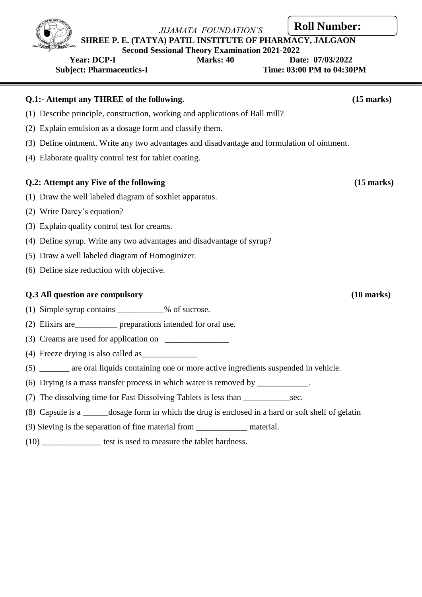**SHREE P. E. (TATYA) PATIL INSTITUTE OF PHARMACY, JALGAON**

**Second Sessional Theory Examination 2021-2022**

# **Subject: Pharmaceutics-I Community Community Community Community Community Community Community Community Community Community Community Community Community Community Community Community Community Community Community Commun Q.1:- Attempt any THREE of the following. (15 marks)** (1) Describe principle, construction, working and applications of Ball mill? (2) Explain emulsion as a dosage form and classify them. (3) Define ointment. Write any two advantages and disadvantage and formulation of ointment. (4) Elaborate quality control test for tablet coating. **Q.2: Attempt any Five of the following (15 marks)** (1) Draw the well labeled diagram of soxhlet apparatus. (2) Write Darcy's equation? (3) Explain quality control test for creams. (4) Define syrup. Write any two advantages and disadvantage of syrup? (5) Draw a well labeled diagram of Homoginizer. (6) Define size reduction with objective. **Q.3 All question are compulsory (10 marks)** (1) Simple syrup contains \_\_\_\_\_\_\_\_\_\_\_% of sucrose. (2) Elixirs are\_\_\_\_\_\_\_\_\_\_ preparations intended for oral use.  $(3)$  Creams are used for application on (4) Freeze drying is also called as\_\_\_\_\_\_\_\_\_\_\_\_\_ (5) \_\_\_\_\_\_\_ are oral liquids containing one or more active ingredients suspended in vehicle. (6) Drying is a mass transfer process in which water is removed by \_\_\_\_\_\_\_\_\_\_\_\_. (7) The dissolving time for Fast Dissolving Tablets is less than \_\_\_\_\_\_\_\_\_\_\_\_\_\_\_\_ sec.

- (8) Capsule is a \_\_\_\_\_\_dosage form in which the drug is enclosed in a hard or soft shell of gelatin
- (9) Sieving is the separation of fine material from \_\_\_\_\_\_\_\_\_\_\_\_ material.
- (10) \_\_\_\_\_\_\_\_\_\_\_\_\_\_ test is used to measure the tablet hardness.



### **Year: DCP-I Marks: 40 Date: 07/03/2022**

**Roll Number:**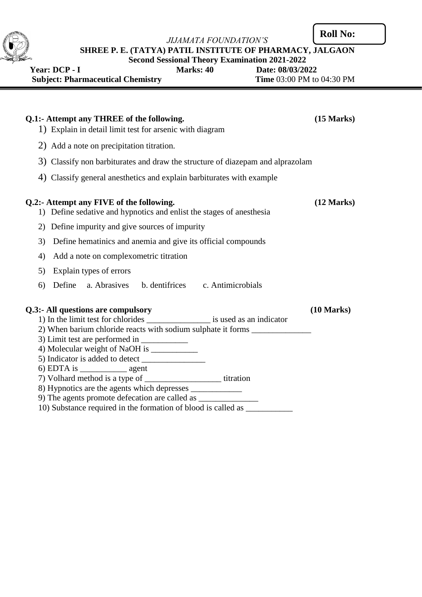**Roll No:**



**SHREE P. E. (TATYA) PATIL INSTITUTE OF PHARMACY, JALGAON**

**Second Sessional Theory Examination 2021-2022<br>Marks: 40 Date: 08/03/20** 

**Year: DCP - I** Marks: 40 Date: 08/03/2022<br> **Subject: Pharmaceutical Chemistry** Time 03:00 PM to 04:30 PM **Subject: Pharmaceutical Chemistry** 

| Q.1:- Attempt any THREE of the following.<br>1) Explain in detail limit test for arsenic with diagram            | $(15 \text{ Marks})$ |
|------------------------------------------------------------------------------------------------------------------|----------------------|
| 2) Add a note on precipitation titration.                                                                        |                      |
| 3) Classify non barbiturates and draw the structure of diazepam and alprazolam                                   |                      |
| 4) Classify general anesthetics and explain barbiturates with example                                            |                      |
| Q.2:- Attempt any FIVE of the following.<br>1) Define sedative and hypnotics and enlist the stages of anesthesia | (12 Marks)           |
| 2) Define impurity and give sources of impurity                                                                  |                      |
| Define hematinics and anemia and give its official compounds<br>3)                                               |                      |
| Add a note on complexometric titration<br>4)                                                                     |                      |
| Explain types of errors<br>5)                                                                                    |                      |
| Define a. Abrasives b. dentifrices c. Antimicrobials<br>6)                                                       |                      |
| Q.3:- All questions are compulsory                                                                               | (10 Marks)           |
| 1) In the limit test for chlorides ____________________ is used as an indicator                                  |                      |
| 2) When barium chloride reacts with sodium sulphate it forms ___________________                                 |                      |
| 4) Molecular weight of NaOH is ____________                                                                      |                      |
|                                                                                                                  |                      |
|                                                                                                                  |                      |
| 7) Volhard method is a type of _________________________titration                                                |                      |
|                                                                                                                  |                      |
| 9) The agents promote defecation are called as __________________________________                                |                      |
| 10) Substance required in the formation of blood is called as                                                    |                      |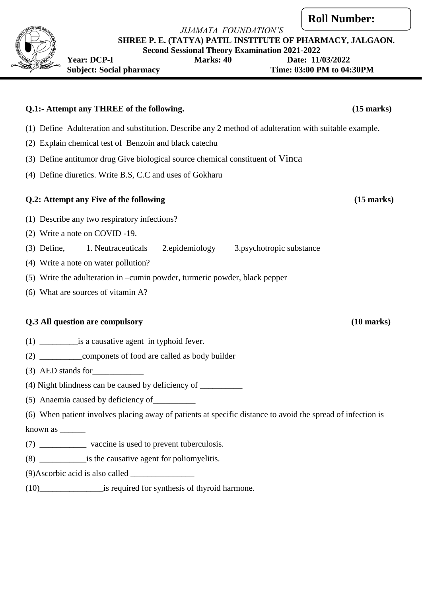**SHREE P. E. (TATYA) PATIL INSTITUTE OF PHARMACY, JALGAON.**

**Second Sessional Theory Examination 2021-2022 Year: DCP-I Marks: 40 Date: 11/03/2022**

Subject: Social pharmacy Time: 03:00 PM to 04:30PM

# **Q.1:- Attempt any THREE of the following. (15 marks)**

- (1) Define Adulteration and substitution. Describe any 2 method of adulteration with suitable example.
- (2) Explain chemical test of Benzoin and black catechu
- (3) Define antitumor drug Give biological source chemical constituent of Vinca
- (4) Define diuretics. Write B.S, C.C and uses of Gokharu

#### **Q.2: Attempt any Five of the following (15 marks)**

- (1) Describe any two respiratory infections?
- (2) Write a note on COVID -19.
- (3) Define, 1. Neutraceuticals 2.epidemiology 3.psychotropic substance
- (4) Write a note on water pollution?
- (5) Write the adulteration in –cumin powder, turmeric powder, black pepper
- (6) What are sources of vitamin A?

#### **Q.3 All question are compulsory (10 marks)**

- (1) \_\_\_\_\_\_\_\_\_is a causative agent in typhoid fever.
- (2) componets of food are called as body builder
- $(3)$  AED stands for
- $(4)$  Night blindness can be caused by deficiency of
- (5) Anaemia caused by deficiency of\_\_\_\_\_\_\_\_\_\_
- (6) When patient involves placing away of patients at specific distance to avoid the spread of infection is

known as \_\_\_\_\_\_

- (7) vaccine is used to prevent tuberculosis.
- (8) \_\_\_\_\_\_\_\_\_\_\_is the causative agent for poliomyelitis.

(9)Ascorbic acid is also called \_\_\_\_\_\_\_\_\_\_\_\_\_\_\_

(10) is required for synthesis of thyroid harmone.

### **Roll Number:**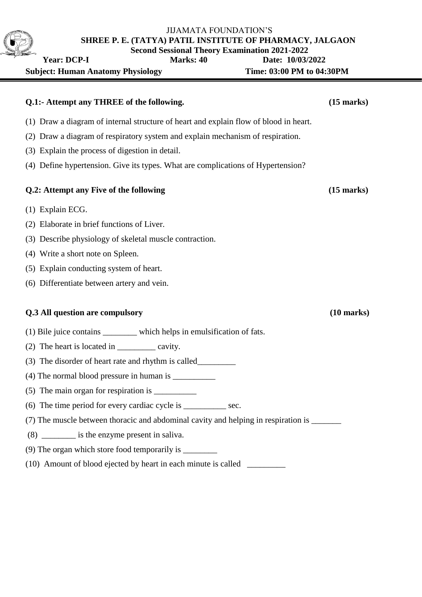| <b>Second Sessional Theory Examination 2021-2022</b><br><b>Marks: 40</b><br><b>Year: DCP-I</b> | Date: 10/03/2022          |
|------------------------------------------------------------------------------------------------|---------------------------|
| <b>Subject: Human Anatomy Physiology</b>                                                       | Time: 03:00 PM to 04:30PM |
| Q.1:- Attempt any THREE of the following.                                                      | $(15$ marks)              |
| (1) Draw a diagram of internal structure of heart and explain flow of blood in heart.          |                           |
| (2) Draw a diagram of respiratory system and explain mechanism of respiration.                 |                           |
| (3) Explain the process of digestion in detail.                                                |                           |
| (4) Define hypertension. Give its types. What are complications of Hypertension?               |                           |
| Q.2: Attempt any Five of the following                                                         | $(15$ marks)              |
| $(1)$ Explain ECG.                                                                             |                           |
| (2) Elaborate in brief functions of Liver.                                                     |                           |
| (3) Describe physiology of skeletal muscle contraction.                                        |                           |
| (4) Write a short note on Spleen.                                                              |                           |
| (5) Explain conducting system of heart.                                                        |                           |
| (6) Differentiate between artery and vein.                                                     |                           |
| Q.3 All question are compulsory                                                                | $(10 \text{ marks})$      |
| (1) Bile juice contains _________ which helps in emulsification of fats.                       |                           |
| (2) The heart is located in ____________ cavity.                                               |                           |
| (3) The disorder of heart rate and rhythm is called                                            |                           |
|                                                                                                |                           |
|                                                                                                |                           |
| (6) The time period for every cardiac cycle is _____________ sec.                              |                           |
| (7) The muscle between thoracic and abdominal cavity and helping in respiration is _______     |                           |
| (8) __________ is the enzyme present in saliva.                                                |                           |
|                                                                                                |                           |